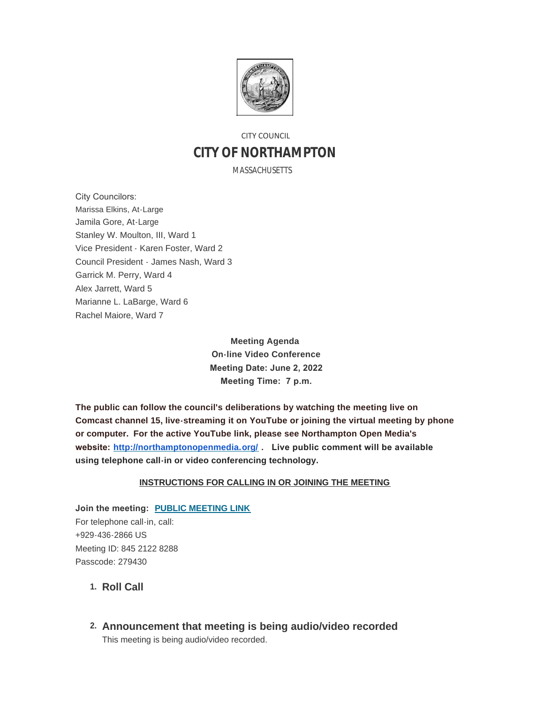

# CITY COUNCIL **CITY OF NORTHAMPTON**

MASSACHUSETTS

City Councilors: Marissa Elkins, At-Large Jamila Gore, At-Large Stanley W. Moulton, III, Ward 1 Vice President - Karen Foster, Ward 2 Council President - James Nash, Ward 3 Garrick M. Perry, Ward 4 Alex Jarrett, Ward 5 Marianne L. LaBarge, Ward 6 Rachel Maiore, Ward 7

> **Meeting Agenda On-line Video Conference Meeting Date: June 2, 2022 Meeting Time: 7 p.m.**

**The public can follow the council's deliberations by watching the meeting live on Comcast channel 15, live-streaming it on YouTube or joining the virtual meeting by phone or computer. For the active YouTube link, please see Northampton Open Media's website: <http://northamptonopenmedia.org/> . Live public comment will be available using telephone call-in or video conferencing technology.**

#### **INSTRUCTIONS FOR CALLING IN OR JOINING THE MEETING**

**Join the meeting: [PUBLIC MEETING LINK](https://us06web.zoom.us/j/84521228288?pwd=c0RDZC8vUGxSTlB2V0c2Tmt1RFVCUT09)** For telephone call-in, call: +929-436-2866 US Meeting ID: 845 2122 8288 Passcode: 279430

- 1. Roll Call
- **Announcement that meeting is being audio/video recorded 2.** This meeting is being audio/video recorded.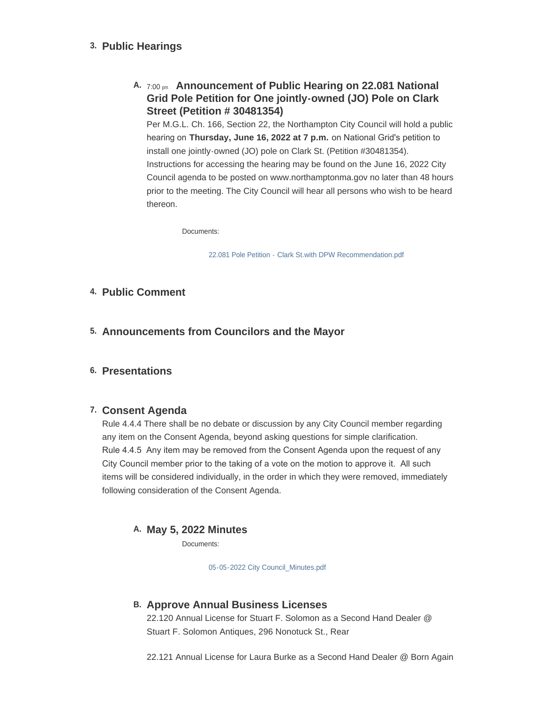### **Public Hearings 3.**

## **A.** 7:00 pm Announcement of Public Hearing on 22.081 National **Grid Pole Petition for One jointly-owned (JO) Pole on Clark Street (Petition # 30481354)**

Per M.G.L. Ch. 166, Section 22, the Northampton City Council will hold a public hearing on **Thursday, June 16, 2022 at 7 p.m.** on National Grid's petition to install one jointly-owned (JO) pole on Clark St. (Petition #30481354). Instructions for accessing the hearing may be found on the June 16, 2022 City Council agenda to be posted on www.northamptonma.gov no later than 48 hours prior to the meeting. The City Council will hear all persons who wish to be heard thereon.

Documents:

[22.081 Pole Petition - Clark St.with DPW Recommendation.pdf](https://northamptonma.gov/AgendaCenter/ViewFile/Item/19293?fileID=167318)

### **Public Comment 4.**

**Announcements from Councilors and the Mayor 5.**

### **Presentations 6.**

### **Consent Agenda 7.**

Rule 4.4.4 There shall be no debate or discussion by any City Council member regarding any item on the Consent Agenda, beyond asking questions for simple clarification. Rule 4.4.5 Any item may be removed from the Consent Agenda upon the request of any City Council member prior to the taking of a vote on the motion to approve it. All such items will be considered individually, in the order in which they were removed, immediately following consideration of the Consent Agenda.

### **May 5, 2022 Minutes A.**

Documents:

[05-05-2022 City Council\\_Minutes.pdf](https://northamptonma.gov/AgendaCenter/ViewFile/Item/19325?fileID=167469)

### **Approve Annual Business Licenses B.**

22.120 Annual License for Stuart F. Solomon as a Second Hand Dealer @ Stuart F. Solomon Antiques, 296 Nonotuck St., Rear

22.121 Annual License for Laura Burke as a Second Hand Dealer @ Born Again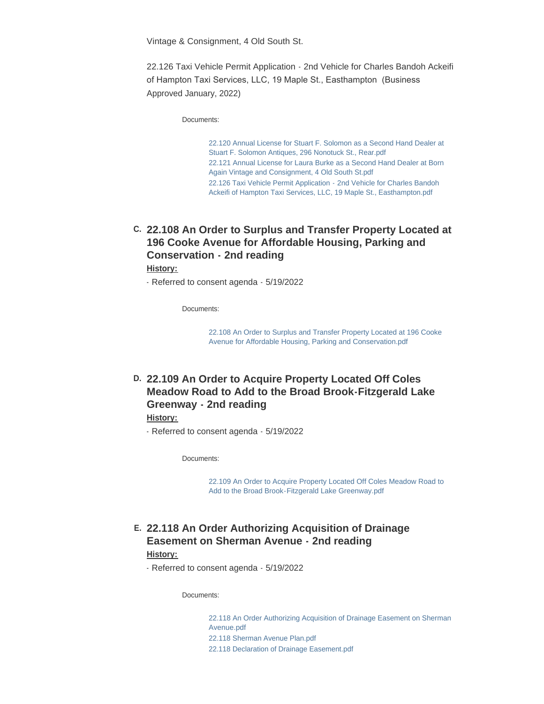Vintage & Consignment, 4 Old South St.

22.126 Taxi Vehicle Permit Application - 2nd Vehicle for Charles Bandoh Ackeifi of Hampton Taxi Services, LLC, 19 Maple St., Easthampton (Business Approved January, 2022)

Documents:

[22.120 Annual License for Stuart F. Solomon as a Second Hand Dealer at](https://northamptonma.gov/AgendaCenter/ViewFile/Item/19289?fileID=167314)  Stuart F. Solomon Antiques, 296 Nonotuck St., Rear.pdf [22.121 Annual License for Laura Burke as a Second Hand Dealer at Born](https://northamptonma.gov/AgendaCenter/ViewFile/Item/19289?fileID=167315)  Again Vintage and Consignment, 4 Old South St.pdf [22.126 Taxi Vehicle Permit Application - 2nd Vehicle for Charles Bandoh](https://northamptonma.gov/AgendaCenter/ViewFile/Item/19289?fileID=167316)  Ackeifi of Hampton Taxi Services, LLC, 19 Maple St., Easthampton.pdf

**22.108 An Order to Surplus and Transfer Property Located at C. 196 Cooke Avenue for Affordable Housing, Parking and Conservation - 2nd reading**

**History:**

- Referred to consent agenda - 5/19/2022

Documents:

[22.108 An Order to Surplus and Transfer Property Located at 196 Cooke](https://northamptonma.gov/AgendaCenter/ViewFile/Item/19300?fileID=167321)  Avenue for Affordable Housing, Parking and Conservation.pdf

## **22.109 An Order to Acquire Property Located Off Coles D. Meadow Road to Add to the Broad Brook-Fitzgerald Lake Greenway - 2nd reading**

#### **History:**

- Referred to consent agenda - 5/19/2022

Documents:

[22.109 An Order to Acquire Property Located Off Coles Meadow Road to](https://northamptonma.gov/AgendaCenter/ViewFile/Item/19301?fileID=167322)  Add to the Broad Brook-Fitzgerald Lake Greenway.pdf

**22.118 An Order Authorizing Acquisition of Drainage E. Easement on Sherman Avenue - 2nd reading**

#### **History:**

- Referred to consent agenda - 5/19/2022

Documents:

[22.118 An Order Authorizing Acquisition of Drainage Easement on Sherman](https://northamptonma.gov/AgendaCenter/ViewFile/Item/19302?fileID=167323)  Avenue.pdf [22.118 Sherman Avenue Plan.pdf](https://northamptonma.gov/AgendaCenter/ViewFile/Item/19302?fileID=167324) [22.118 Declaration of Drainage Easement.pdf](https://northamptonma.gov/AgendaCenter/ViewFile/Item/19302?fileID=167325)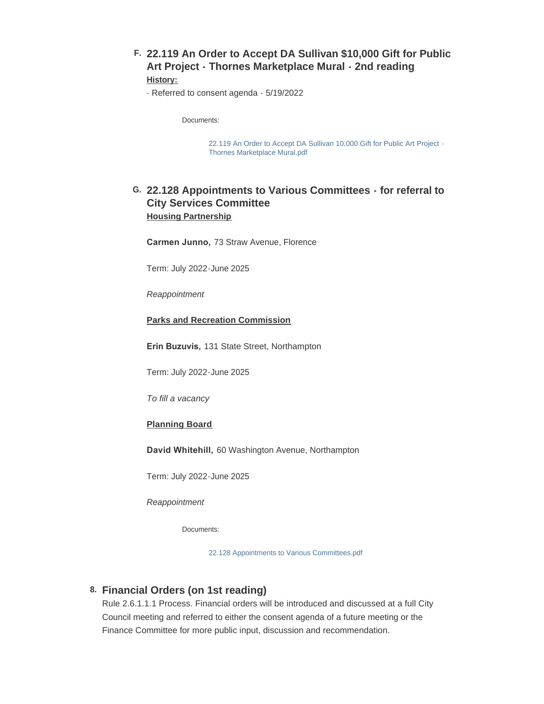**22.119 An Order to Accept DA Sullivan \$10,000 Gift for Public F. Art Project - Thornes Marketplace Mural - 2nd reading History:**

- Referred to consent agenda - 5/19/2022

Documents:

[22.119 An Order to Accept DA Sullivan 10,000 Gift for Public Art Project -](https://northamptonma.gov/AgendaCenter/ViewFile/Item/19303?fileID=167326) Thornes Marketplace Mural.pdf

### **22.128 Appointments to Various Committees - for referral to G. City Services Committee Housing Partnership**

**Carmen Junno,** 73 Straw Avenue, Florence

Term: July 2022-June 2025

*Reappointment*

#### **Parks and Recreation Commission**

**Erin Buzuvis,** 131 State Street, Northampton

Term: July 2022-June 2025

*To fill a vacancy*

#### **Planning Board**

**David Whitehill,** 60 Washington Avenue, Northampton

Term: July 2022-June 2025

*Reappointment*

Documents:

[22.128 Appointments to Various Committees.pdf](https://northamptonma.gov/AgendaCenter/ViewFile/Item/19324?fileID=167338)

### **Financial Orders (on 1st reading) 8.**

Rule 2.6.1.1.1 Process. Financial orders will be introduced and discussed at a full City Council meeting and referred to either the consent agenda of a future meeting or the Finance Committee for more public input, discussion and recommendation.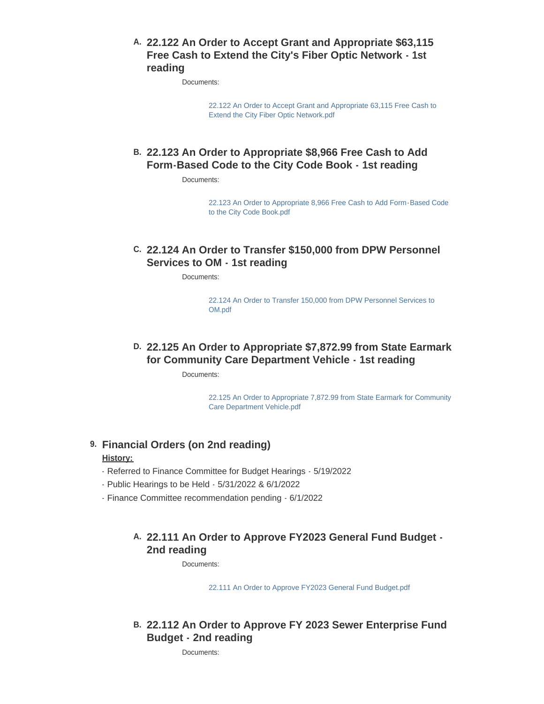### **22.122 An Order to Accept Grant and Appropriate \$63,115 A. Free Cash to Extend the City's Fiber Optic Network - 1st reading**

Documents:

[22.122 An Order to Accept Grant and Appropriate 63,115 Free Cash to](https://northamptonma.gov/AgendaCenter/ViewFile/Item/19305?fileID=167327)  Extend the City Fiber Optic Network.pdf

## **22.123 An Order to Appropriate \$8,966 Free Cash to Add B. Form-Based Code to the City Code Book - 1st reading**

Documents:

[22.123 An Order to Appropriate 8,966 Free Cash to Add Form-Based Code](https://northamptonma.gov/AgendaCenter/ViewFile/Item/19306?fileID=167328)  to the City Code Book.pdf

## **22.124 An Order to Transfer \$150,000 from DPW Personnel C. Services to OM - 1st reading**

Documents:

[22.124 An Order to Transfer 150,000 from DPW Personnel Services to](https://northamptonma.gov/AgendaCenter/ViewFile/Item/19307?fileID=167329)  OM.pdf

## **22.125 An Order to Appropriate \$7,872.99 from State Earmark D. for Community Care Department Vehicle - 1st reading**

Documents:

[22.125 An Order to Appropriate 7,872.99 from State Earmark for Community](https://northamptonma.gov/AgendaCenter/ViewFile/Item/19308?fileID=167330)  Care Department Vehicle.pdf

### **Financial Orders (on 2nd reading) 9.**

#### **History:**

- Referred to Finance Committee for Budget Hearings 5/19/2022
- Public Hearings to be Held 5/31/2022 & 6/1/2022
- Finance Committee recommendation pending 6/1/2022

## **22.111 An Order to Approve FY2023 General Fund Budget - A. 2nd reading**

Documents:

[22.111 An Order to Approve FY2023 General Fund Budget.pdf](https://northamptonma.gov/AgendaCenter/ViewFile/Item/19310?fileID=167331)

## **22.112 An Order to Approve FY 2023 Sewer Enterprise Fund B. Budget - 2nd reading**

Documents: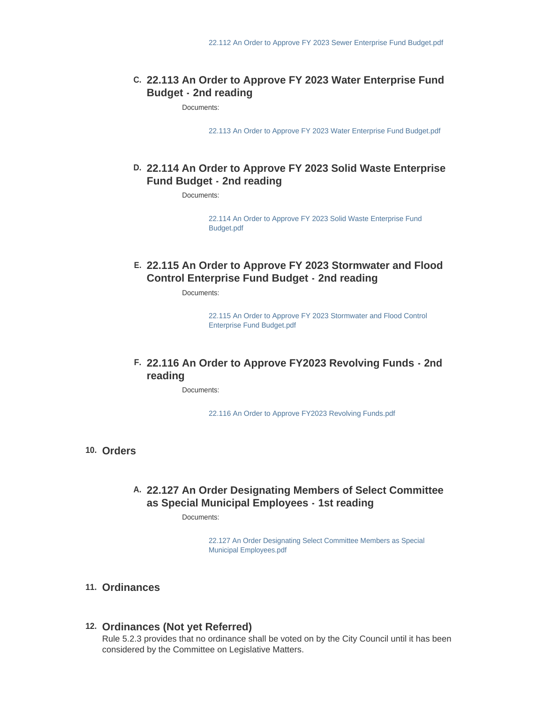### **22.113 An Order to Approve FY 2023 Water Enterprise Fund C. Budget - 2nd reading**

Documents:

[22.113 An Order to Approve FY 2023 Water Enterprise Fund Budget.pdf](https://northamptonma.gov/AgendaCenter/ViewFile/Item/19312?fileID=167333)

### **22.114 An Order to Approve FY 2023 Solid Waste Enterprise D. Fund Budget - 2nd reading**

Documents:

[22.114 An Order to Approve FY 2023 Solid Waste Enterprise Fund](https://northamptonma.gov/AgendaCenter/ViewFile/Item/19313?fileID=167334)  Budget.pdf

### **22.115 An Order to Approve FY 2023 Stormwater and Flood E. Control Enterprise Fund Budget - 2nd reading**

Documents:

[22.115 An Order to Approve FY 2023 Stormwater and Flood Control](https://northamptonma.gov/AgendaCenter/ViewFile/Item/19314?fileID=167335)  Enterprise Fund Budget.pdf

### **22.116 An Order to Approve FY2023 Revolving Funds - 2nd F. reading**

Documents:

[22.116 An Order to Approve FY2023 Revolving Funds.pdf](https://northamptonma.gov/AgendaCenter/ViewFile/Item/19315?fileID=167336)

**Orders 10.**

### **22.127 An Order Designating Members of Select Committee A. as Special Municipal Employees - 1st reading**

Documents:

[22.127 An Order Designating Select Committee Members as Special](https://northamptonma.gov/AgendaCenter/ViewFile/Item/19323?fileID=167337)  Municipal Employees.pdf

#### **Ordinances 11.**

#### **Ordinances (Not yet Referred) 12.**

Rule 5.2.3 provides that no ordinance shall be voted on by the City Council until it has been considered by the Committee on Legislative Matters.